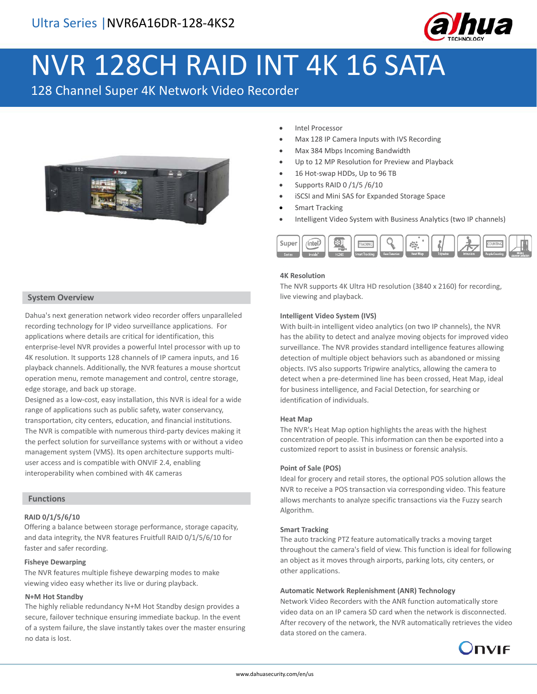

# NVR 128CH RAID INT 4K 16 SATA

128 Channel Super 4K Network Video Recorder



- Intel Processor
- Max 128 IP Camera Inputs with IVS Recording
- Max 384 Mbps Incoming Bandwidth
- Up to 12 MP Resolution for Preview and Playback
- 16 Hot-swap HDDs, Up to 96 TB
- Supports RAID 0 /1/5 /6/10
- iSCSI and Mini SAS for Expanded Storage Space
- **Smart Tracking**
- Intelligent Video System with Business Analytics (two IP channels)



#### **4K Resolution**

The NVR supports 4K Ultra HD resolution (3840 x 2160) for recording, live viewing and playback.

#### **Intelligent Video System (IVS)**

With built-in intelligent video analytics (on two IP channels), the NVR has the ability to detect and analyze moving objects for improved video surveillance. The NVR provides standard intelligence features allowing detection of multiple object behaviors such as abandoned or missing objects. IVS also supports Tripwire analytics, allowing the camera to detect when a pre-determined line has been crossed, Heat Map, ideal for business intelligence, and Facial Detection, for searching or identification of individuals.

#### **Heat Map**

The NVR's Heat Map option highlights the areas with the highest concentration of people. This information can then be exported into a customized report to assist in business or forensic analysis.

#### **Point of Sale (POS)**

Ideal for grocery and retail stores, the optional POS solution allows the NVR to receive a POS transaction via corresponding video. This feature allows merchants to analyze specific transactions via the Fuzzy search Algorithm.

#### **Smart Tracking**

The auto tracking PTZ feature automatically tracks a moving target throughout the camera's field of view. This function is ideal for following an object as it moves through airports, parking lots, city centers, or other applications.

#### **Automatic Network Replenishment (ANR) Technology**

Network Video Recorders with the ANR function automatically store video data on an IP camera SD card when the network is disconnected. After recovery of the network, the NVR automatically retrieves the video data stored on the camera.



## **System Overview**

Dahua's next generation network video recorder offers unparalleled recording technology for IP video surveillance applications. For applications where details are critical for identification, this enterprise-level NVR provides a powerful Intel processor with up to 4K resolution. It supports 128 channels of IP camera inputs, and 16 playback channels. Additionally, the NVR features a mouse shortcut operation menu, remote management and control, centre storage, edge storage, and back up storage.

Designed as a low-cost, easy installation, this NVR is ideal for a wide range of applications such as public safety, water conservancy, transportation, city centers, education, and financial institutions. The NVR is compatible with numerous third-party devices making it the perfect solution for surveillance systems with or without a video management system (VMS). Its open architecture supports multiuser access and is compatible with ONVIF 2.4, enabling interoperability when combined with 4K cameras

## **Functions**

## **RAID 0/1/5/6/10**

Offering a balance between storage performance, storage capacity, and data integrity, the NVR features Fruitfull RAID 0/1/5/6/10 for faster and safer recording.

## **Fisheye Dewarping**

The NVR features multiple fisheye dewarping modes to make viewing video easy whether its live or during playback.

## **N+M Hot Standby**

The highly reliable redundancy N+M Hot Standby design provides a secure, failover technique ensuring immediate backup. In the event of a system failure, the slave instantly takes over the master ensuring no data is lost.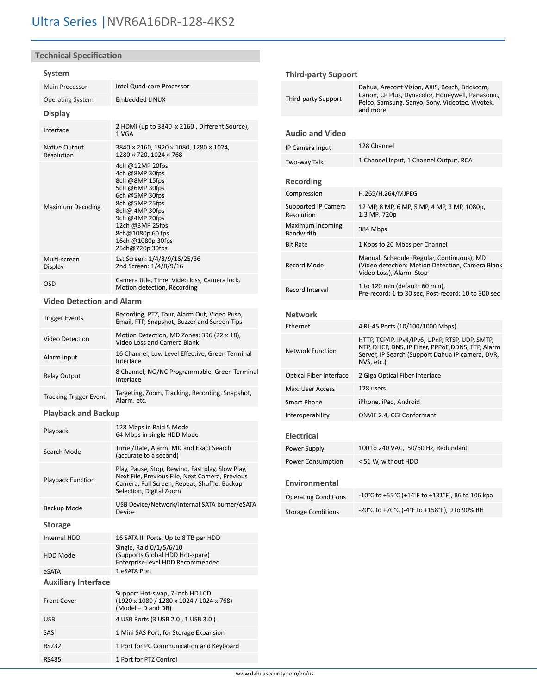# **Technical Specification**

## **System**

| Main Processor                   | Intel Quad-core Processor                                                                                                                                                                                                    |  |
|----------------------------------|------------------------------------------------------------------------------------------------------------------------------------------------------------------------------------------------------------------------------|--|
| <b>Operating System</b>          | <b>Embedded LINUX</b>                                                                                                                                                                                                        |  |
| <b>Display</b>                   |                                                                                                                                                                                                                              |  |
| Interface                        | 2 HDMI (up to 3840 x 2160, Different Source),<br>1 VGA                                                                                                                                                                       |  |
| Native Output<br>Resolution      | 3840 × 2160, 1920 × 1080, 1280 × 1024,<br>1280 × 720, 1024 × 768                                                                                                                                                             |  |
| Maximum Decoding                 | 4ch @12MP 20fps<br>4ch @8MP 30fps<br>8ch @8MP 15fps<br>5ch @6MP 30fps<br>6ch @5MP 30fps<br>8ch @5MP 25fps<br>8ch@ 4MP 30fps<br>9ch @4MP 20fps<br>12ch @3MP 25fps<br>8ch@1080p 60 fps<br>16ch @1080p 30fps<br>25ch@720p 30fps |  |
| Multi-screen<br>Display          | 1st Screen: 1/4/8/9/16/25/36<br>2nd Screen: 1/4/8/9/16                                                                                                                                                                       |  |
| <b>OSD</b>                       | Camera title, Time, Video loss, Camera lock,<br>Motion detection, Recording                                                                                                                                                  |  |
| <b>Video Detection and Alarm</b> |                                                                                                                                                                                                                              |  |
| <b>Trigger Events</b>            | Recording, PTZ, Tour, Alarm Out, Video Push,<br>Email, FTP, Snapshot, Buzzer and Screen Tips                                                                                                                                 |  |
| <b>Video Detection</b>           | Motion Detection, MD Zones: 396 (22 $\times$ 18),<br>Video Loss and Camera Blank                                                                                                                                             |  |
| Alarm input                      | 16 Channel, Low Level Effective, Green Terminal<br>Interface                                                                                                                                                                 |  |
| <b>Relay Output</b>              | 8 Channel, NO/NC Programmable, Green Terminal<br>Interface                                                                                                                                                                   |  |
| <b>Tracking Trigger Event</b>    | Targeting, Zoom, Tracking, Recording, Snapshot,<br>Alarm, etc.                                                                                                                                                               |  |
| <b>Playback and Backup</b>       |                                                                                                                                                                                                                              |  |
| Playback                         | 128 Mbps in Raid 5 Mode<br>64 Mbps in single HDD Mode                                                                                                                                                                        |  |
| Search Mode                      | Time /Date, Alarm, MD and Exact Search<br>(accurate to a second)                                                                                                                                                             |  |
| <b>Playback Function</b>         | Play, Pause, Stop, Rewind, Fast play, Slow Play,<br>Next File, Previous File, Next Camera, Previous<br>Camera, Full Screen, Repeat, Shuffle, Backup<br>Selection, Digital Zoom                                               |  |
| Backup Mode                      | USB Device/Network/Internal SATA burner/eSATA<br>Device                                                                                                                                                                      |  |
| <b>Storage</b>                   |                                                                                                                                                                                                                              |  |
| Internal HDD                     | 16 SATA III Ports, Up to 8 TB per HDD                                                                                                                                                                                        |  |
| HDD Mode                         | Single, Raid 0/1/5/6/10<br>(Supports Global HDD Hot-spare)<br>Enterprise-level HDD Recommended                                                                                                                               |  |
| eSATA                            | 1 eSATA Port                                                                                                                                                                                                                 |  |
| <b>Auxiliary Interface</b>       |                                                                                                                                                                                                                              |  |
| <b>Front Cover</b>               | Support Hot-swap, 7-inch HD LCD<br>(1920 x 1080 / 1280 x 1024 / 1024 x 768)<br>(Model - D and DR)                                                                                                                            |  |
| USB                              | 4 USB Ports (3 USB 2.0, 1 USB 3.0)                                                                                                                                                                                           |  |
| SAS                              | 1 Mini SAS Port, for Storage Expansion                                                                                                                                                                                       |  |
| RS232                            | 1 Port for PC Communication and Keyboard                                                                                                                                                                                     |  |

RS485 1 Port for PTZ Control

#### **Third-party Support**

| Third-party Support               | Dahua, Arecont Vision, AXIS, Bosch, Brickcom,<br>Canon, CP Plus, Dynacolor, Honeywell, Panasonic,<br>Pelco, Samsung, Sanyo, Sony, Videotec, Vivotek,<br>and more       |  |
|-----------------------------------|------------------------------------------------------------------------------------------------------------------------------------------------------------------------|--|
| <b>Audio and Video</b>            |                                                                                                                                                                        |  |
| IP Camera Input                   | 128 Channel                                                                                                                                                            |  |
| Two-way Talk                      | 1 Channel Input, 1 Channel Output, RCA                                                                                                                                 |  |
| Recording                         |                                                                                                                                                                        |  |
| Compression                       | H.265/H.264/MJPEG                                                                                                                                                      |  |
| Supported IP Camera<br>Resolution | 12 MP, 8 MP, 6 MP, 5 MP, 4 MP, 3 MP, 1080p,<br>1.3 MP, 720p                                                                                                            |  |
| Maximum Incoming<br>Bandwidth     | 384 Mbps                                                                                                                                                               |  |
| <b>Bit Rate</b>                   | 1 Kbps to 20 Mbps per Channel                                                                                                                                          |  |
| Record Mode                       | Manual, Schedule (Regular, Continuous), MD<br>(Video detection: Motion Detection, Camera Blank<br>Video Loss), Alarm, Stop                                             |  |
| Record Interval                   | 1 to 120 min (default: 60 min),<br>Pre-record: 1 to 30 sec, Post-record: 10 to 300 sec                                                                                 |  |
| <b>Network</b>                    |                                                                                                                                                                        |  |
| Ethernet                          | 4 RJ-45 Ports (10/100/1000 Mbps)                                                                                                                                       |  |
| <b>Network Function</b>           | HTTP, TCP/IP, IPv4/IPv6, UPnP, RTSP, UDP, SMTP,<br>NTP, DHCP, DNS, IP Filter, PPPoE,DDNS, FTP, Alarm<br>Server, IP Search (Support Dahua IP camera, DVR,<br>NVS, etc.) |  |
| <b>Optical Fiber Interface</b>    | 2 Giga Optical Fiber Interface                                                                                                                                         |  |
| Max. User Access                  | 128 users                                                                                                                                                              |  |
| <b>Smart Phone</b>                | iPhone, iPad, Android                                                                                                                                                  |  |
| Interoperability                  | ONVIF 2.4, CGI Conformant                                                                                                                                              |  |
| <b>Electrical</b>                 |                                                                                                                                                                        |  |
| Power Supply                      | 100 to 240 VAC, 50/60 Hz, Redundant                                                                                                                                    |  |
| Power Consumption                 | < 51 W, without HDD                                                                                                                                                    |  |
| <b>Environmental</b>              |                                                                                                                                                                        |  |
| <b>Operating Conditions</b>       | -10°C to +55°C (+14°F to +131°F), 86 to 106 kpa                                                                                                                        |  |
| <b>Storage Conditions</b>         | -20°C to +70°C (-4°F to +158°F), 0 to 90% RH                                                                                                                           |  |